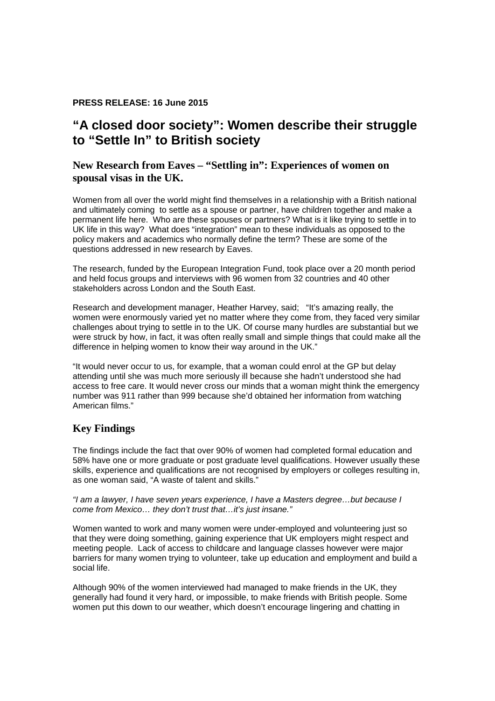### **PRESS RELEASE: 16 June 2015**

# **"A closed door society": Women describe their struggle to "Settle In" to British society**

## **[New Research from Eaves – "Settling in": Experiences of women on](http://i1.cmsfiles.com/eaves/2015/06/Executive-Summary-b92a70.pdf)  spousal visas in the UK.**

Women from all over the world might find themselves in a relationship with a British national and ultimately coming to settle as a spouse or partner, have children together and make a permanent life here. Who are these spouses or partners? What is it like trying to settle in to UK life in this way? What does "integration" mean to these individuals as opposed to the policy makers and academics who normally define the term? These are some of the questions addressed in new research by Eaves.

The research, funded by the European Integration Fund, took place over a 20 month period and held focus groups and interviews with 96 women from 32 countries and 40 other stakeholders across London and the South East.

Research and development manager, Heather Harvey, said; "It's amazing really, the women were enormously varied yet no matter where they come from, they faced very similar challenges about trying to settle in to the UK. Of course many hurdles are substantial but we were struck by how, in fact, it was often really small and simple things that could make all the difference in helping women to know their way around in the UK."

"It would never occur to us, for example, that a woman could enrol at the GP but delay attending until she was much more seriously ill because she hadn't understood she had access to free care. It would never cross our minds that a woman might think the emergency number was 911 rather than 999 because she'd obtained her information from watching American films."

## **Key Findings**

The findings include the fact that over 90% of women had completed formal education and 58% have one or more graduate or post graduate level qualifications. However usually these skills, experience and qualifications are not recognised by employers or colleges resulting in, as one woman said, "A waste of talent and skills."

*"I am a lawyer, I have seven years experience, I have a Masters degree…but because I come from Mexico… they don't trust that…it's just insane."* 

Women wanted to work and many women were under-employed and volunteering just so that they were doing something, gaining experience that UK employers might respect and meeting people. Lack of access to childcare and language classes however were major barriers for many women trying to volunteer, take up education and employment and build a social life.

Although 90% of the women interviewed had managed to make friends in the UK, they generally had found it very hard, or impossible, to make friends with British people. Some women put this down to our weather, which doesn't encourage lingering and chatting in